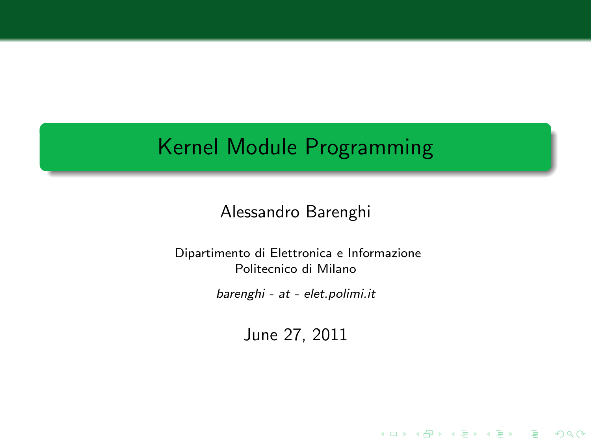# Kernel Module Programming

### Alessandro Barenghi

Dipartimento di Elettronica e Informazione Politecnico di Milano

barenghi - at - elet.polimi.it

June 27, 2011

K ロ ▶ K @ ▶ K 할 > K 할 > 1 할 > 1 이익어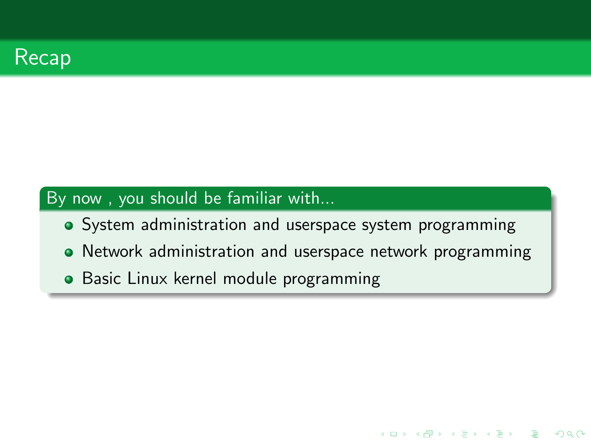

### By now , you should be familiar with...

- System administration and userspace system programming
- Network administration and userspace network programming

K ロ ▶ K @ ▶ K 할 X X 할 X | 할 X 10 Q Q

• Basic Linux kernel module programming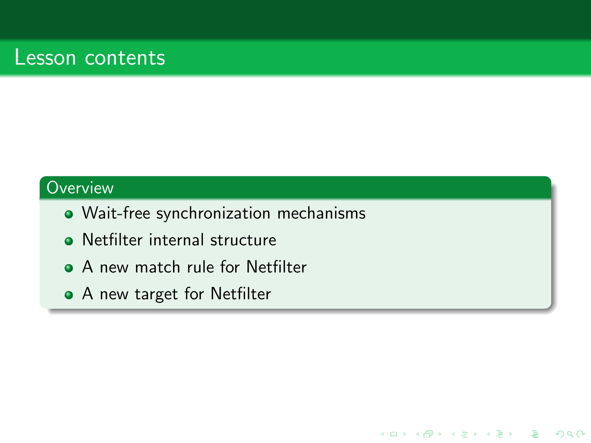## Lesson contents

#### **Overview**

• Wait-free synchronization mechanisms

K ロ > K @ > K 할 > K 할 > → 할 → ⊙ Q @

- **•** Netfilter internal structure
- A new match rule for Netfilter
- A new target for Netfilter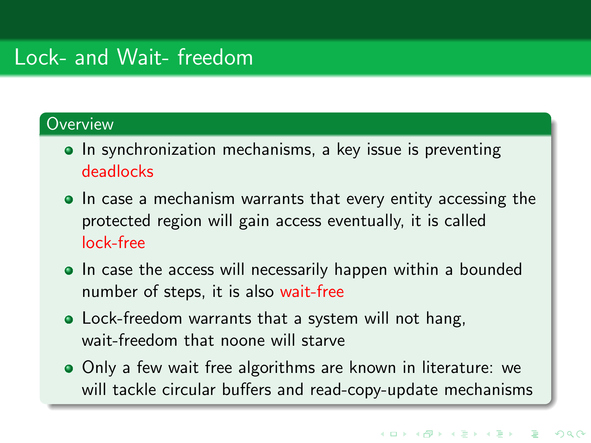## Lock- and Wait- freedom

### **Overview**

- In synchronization mechanisms, a key issue is preventing deadlocks
- In case a mechanism warrants that every entity accessing the protected region will gain access eventually, it is called lock-free
- In case the access will necessarily happen within a bounded number of steps, it is also wait-free
- Lock-freedom warrants that a system will not hang, wait-freedom that noone will starve
- Only a few wait free algorithms are known in literature: we will tackle circular buffers and read-copy-update mechanisms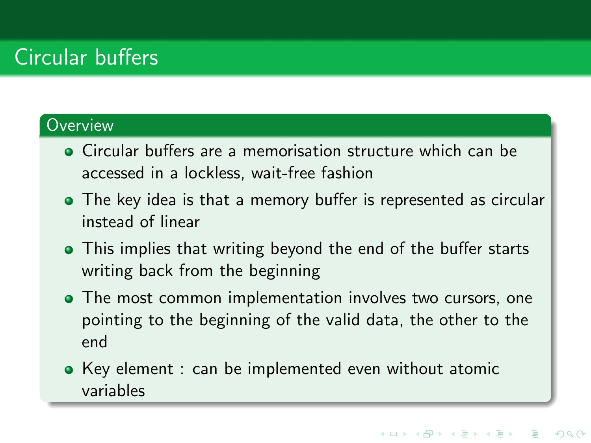# Circular buffers

### **Overview**

- Circular buffers are a memorisation structure which can be accessed in a lockless, wait-free fashion
- The key idea is that a memory buffer is represented as circular instead of linear
- This implies that writing beyond the end of the buffer starts writing back from the beginning
- The most common implementation involves two cursors, one pointing to the beginning of the valid data, the other to the end
- Key element : can be implemented even without atomic variables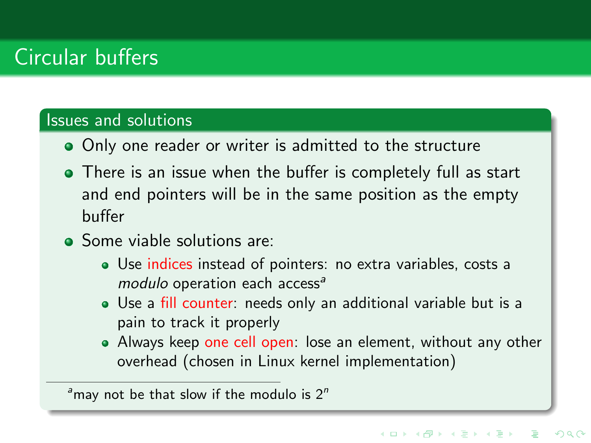# Circular buffers

#### Issues and solutions

- Only one reader or writer is admitted to the structure
- There is an issue when the buffer is completely full as start and end pointers will be in the same position as the empty buffer
- Some viable solutions are:
	- Use indices instead of pointers: no extra variables, costs a  $modulo$  operation each access<sup>a</sup>
	- Use a fill counter: needs only an additional variable but is a pain to track it properly
	- Always keep one cell open: lose an element, without any other overhead (chosen in Linux kernel implementation)

 $a<sup>a</sup>$  may not be that slow if the modulo is  $2<sup>n</sup>$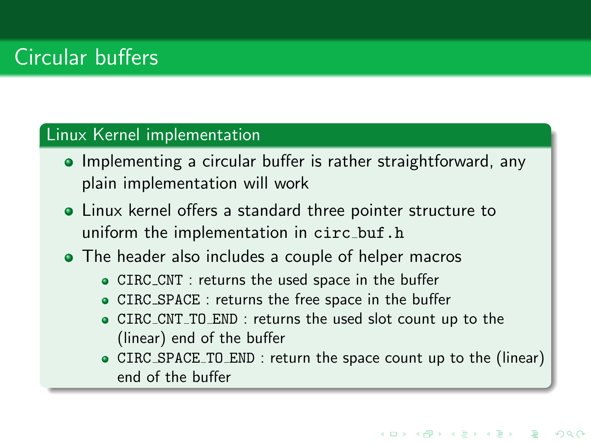# Circular buffers

### Linux Kernel implementation

- Implementing a circular buffer is rather straightforward, any plain implementation will work
- Linux kernel offers a standard three pointer structure to uniform the implementation in circ\_buf.h
- The header also includes a couple of helper macros
	- CIRC CNT : returns the used space in the buffer
	- CIRC SPACE : returns the free space in the buffer
	- CIRC CNT TO END : returns the used slot count up to the (linear) end of the buffer
	- CIRC SPACE TO END : return the space count up to the (linear) end of the buffer

**KORKAR KERKER ST VAC**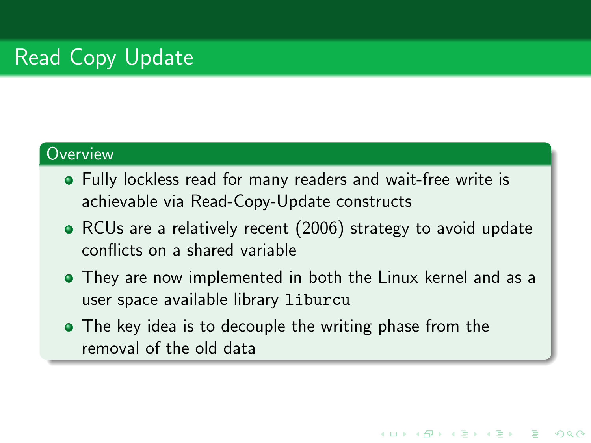### **Overview**

- Fully lockless read for many readers and wait-free write is achievable via Read-Copy-Update constructs
- RCUs are a relatively recent (2006) strategy to avoid update conflicts on a shared variable
- They are now implemented in both the Linux kernel and as a user space available library liburcu

**KORKAR KERKER ST VAC** 

• The key idea is to decouple the writing phase from the removal of the old data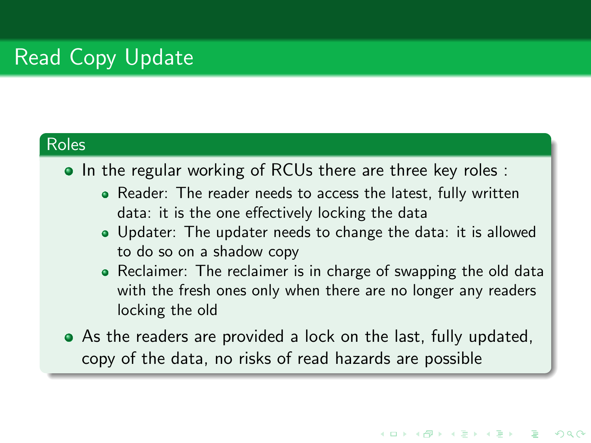#### Roles

• In the regular working of RCUs there are three key roles :

- Reader: The reader needs to access the latest, fully written data: it is the one effectively locking the data
- Updater: The updater needs to change the data: it is allowed to do so on a shadow copy
- Reclaimer: The reclaimer is in charge of swapping the old data with the fresh ones only when there are no longer any readers locking the old

**KORKAR KERKER ST VAC** 

As the readers are provided a lock on the last, fully updated, copy of the data, no risks of read hazards are possible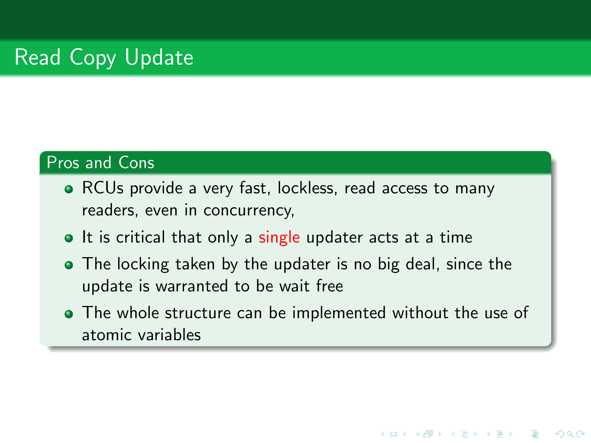### Pros and Cons

- RCUs provide a very fast, lockless, read access to many readers, even in concurrency,
- It is critical that only a single updater acts at a time
- The locking taken by the updater is no big deal, since the update is warranted to be wait free
- The whole structure can be implemented without the use of atomic variables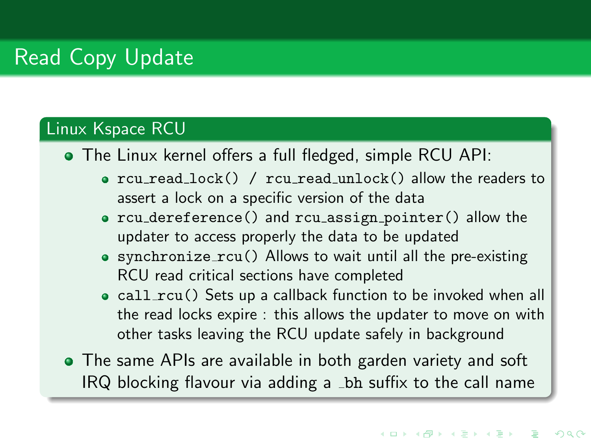#### Linux Kspace RCU

The Linux kernel offers a full fledged, simple RCU API:

- rcu read lock() / rcu read unlock() allow the readers to assert a lock on a specific version of the data
- rcu\_dereference() and rcu\_assign\_pointer() allow the updater to access properly the data to be updated
- synchronize rcu() Allows to wait until all the pre-existing RCU read critical sections have completed
- call\_rcu() Sets up a callback function to be invoked when all the read locks expire : this allows the updater to move on with other tasks leaving the RCU update safely in background
- The same APIs are available in both garden variety and soft IRQ blocking flavour via adding a bh suffix to the call name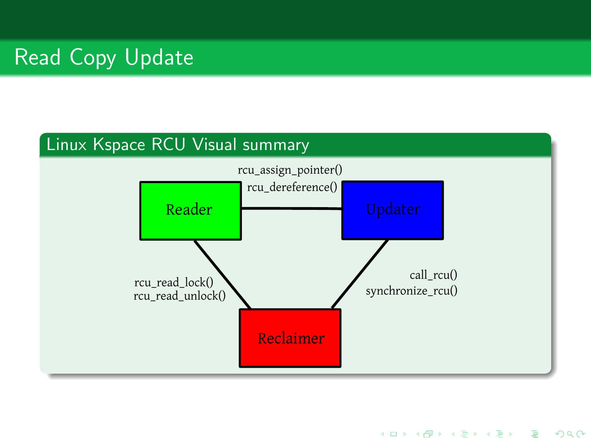#### Linux Kspace RCU Visual summary



K ロ ▶ K @ ▶ K 할 ▶ K 할 ▶ | 할 | © 9 Q @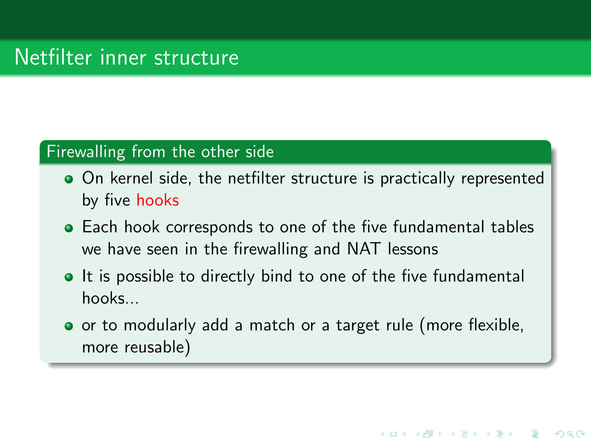#### Firewalling from the other side

- On kernel side, the netfilter structure is practically represented by five hooks
- Each hook corresponds to one of the five fundamental tables we have seen in the firewalling and NAT lessons
- It is possible to directly bind to one of the five fundamental hooks...
- or to modularly add a match or a target rule (more flexible, more reusable)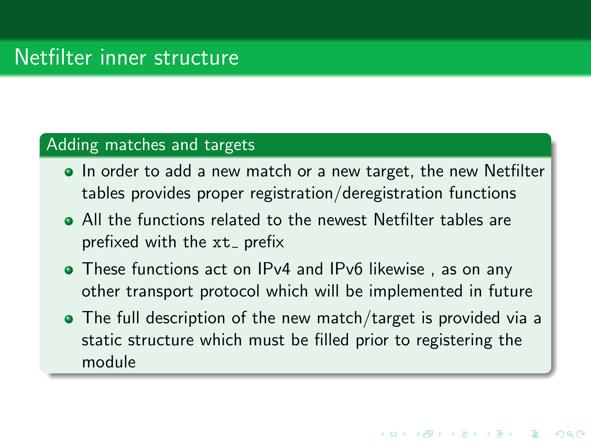#### Adding matches and targets

- In order to add a new match or a new target, the new Netfilter tables provides proper registration/deregistration functions
- All the functions related to the newest Netfilter tables are prefixed with the  $xt_$  prefix
- These functions act on IPv4 and IPv6 likewise , as on any other transport protocol which will be implemented in future
- The full description of the new match/target is provided via a static structure which must be filled prior to registering the module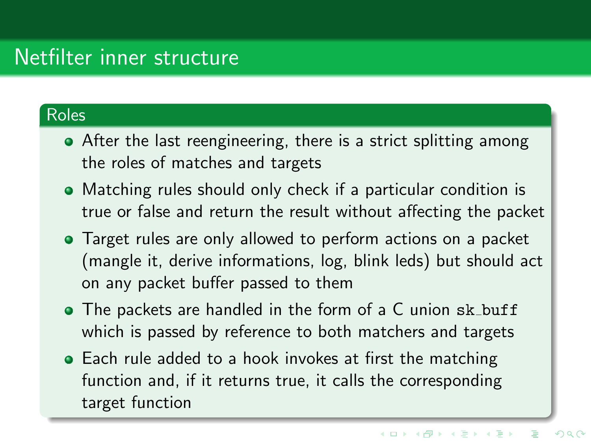### Roles

- After the last reengineering, there is a strict splitting among the roles of matches and targets
- Matching rules should only check if a particular condition is true or false and return the result without affecting the packet
- Target rules are only allowed to perform actions on a packet (mangle it, derive informations, log, blink leds) but should act on any packet buffer passed to them
- The packets are handled in the form of a C union sk\_buff which is passed by reference to both matchers and targets
- Each rule added to a hook invokes at first the matching function and, if it returns true, it calls the corresponding target function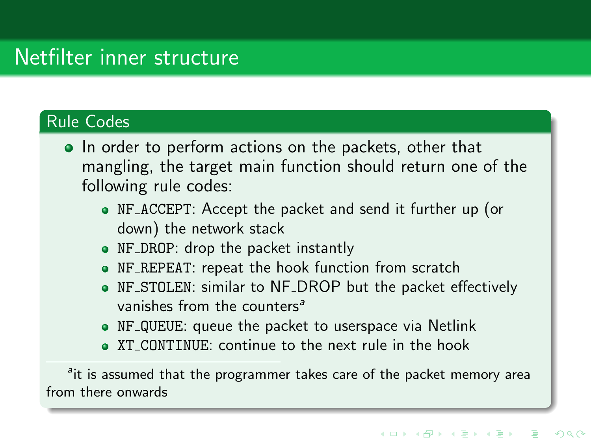#### Rule Codes

- In order to perform actions on the packets, other that mangling, the target main function should return one of the following rule codes:
	- NF ACCEPT: Accept the packet and send it further up (or down) the network stack
	- NF DROP: drop the packet instantly
	- NF REPEAT: repeat the hook function from scratch
	- NF STOLEN: similar to NF DROP but the packet effectively vanishes from the counters<sup>a</sup>
	- NF QUEUE: queue the packet to userspace via Netlink
	- XT CONTINUE: continue to the next rule in the hook

<sup>a</sup>it is assumed that the programmer takes care of the packet memory area from there onwards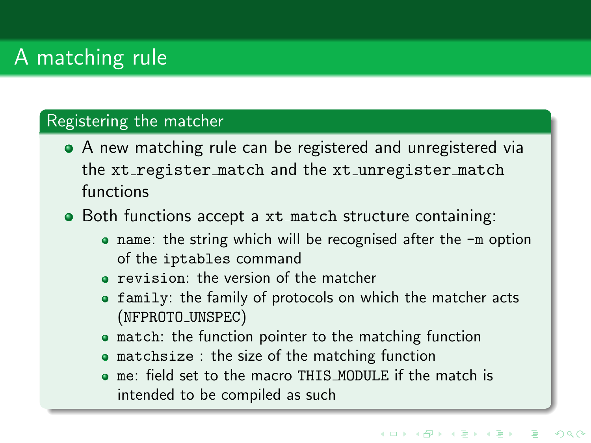# A matching rule

#### Registering the matcher

- A new matching rule can be registered and unregistered via the xt\_register\_match and the xt\_unregister\_match functions
- Both functions accept a xt match structure containing:
	- name: the string which will be recognised after the -m option of the iptables command
	- revision: the version of the matcher
	- family: the family of protocols on which the matcher acts (NFPROTO UNSPEC)
	- **•** match: the function pointer to the matching function
	- matchsize : the size of the matching function
	- me: field set to the macro THIS MODULE if the match is intended to be compiled as such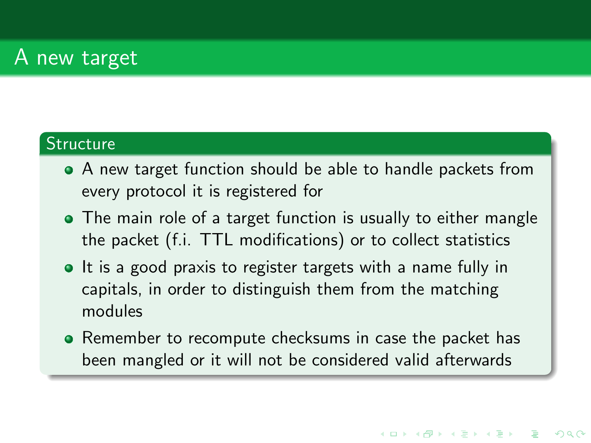## A new target

### **Structure**

- A new target function should be able to handle packets from every protocol it is registered for
- The main role of a target function is usually to either mangle the packet (f.i. TTL modifications) or to collect statistics
- It is a good praxis to register targets with a name fully in capitals, in order to distinguish them from the matching modules
- Remember to recompute checksums in case the packet has been mangled or it will not be considered valid afterwards